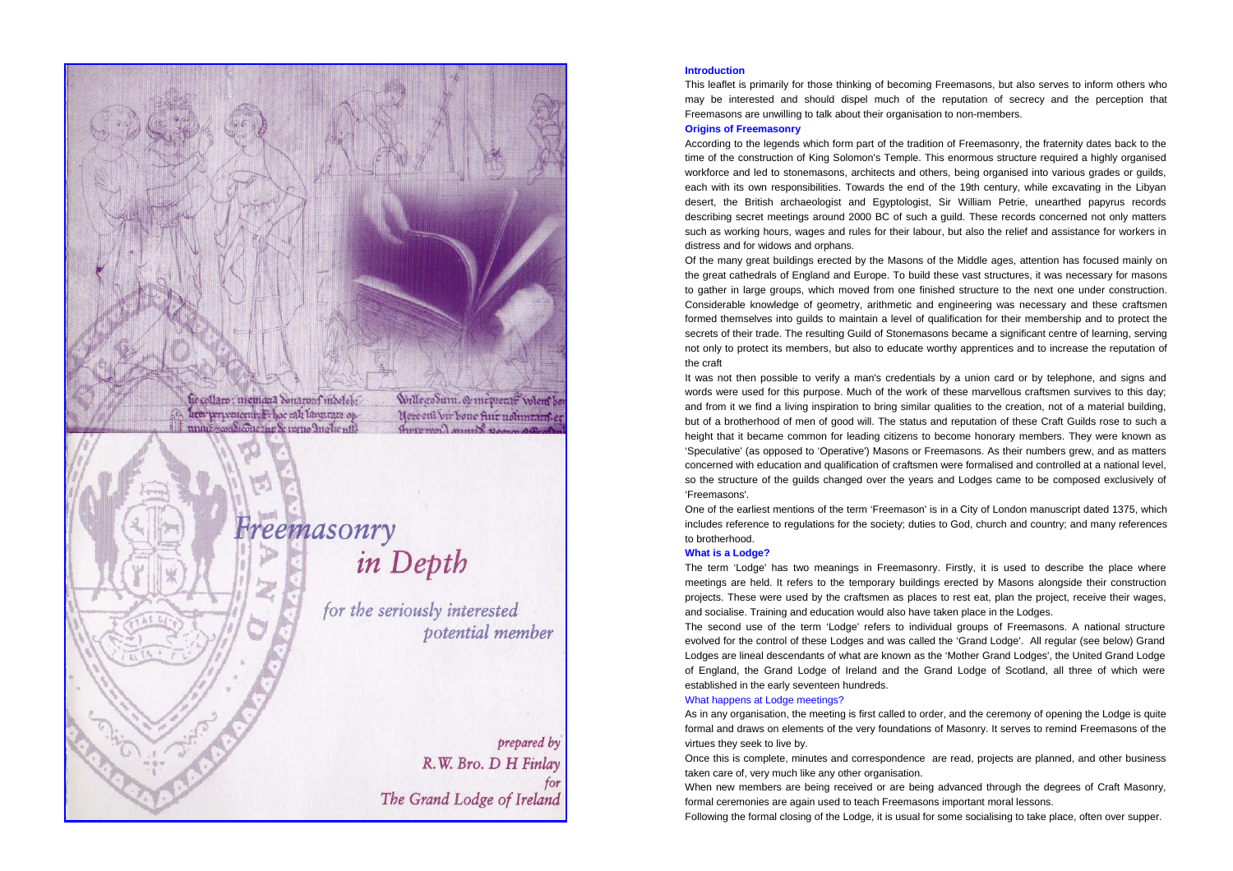

# prepared by R.W. Bro. D H Finlay for The Grand Lodge of Ireland

## **Introduction**

This leaflet is primarily for those thinking of becoming Freemasons, but also serves to inform others who may be interested and should dispel much of the reputation of secrecy and the perception that Freemasons are unwilling to talk about their organisation to non-members.

#### **Origins of Freemasonry**

According to the legends which form part of the tradition of Freemasonry, the fraternity dates back to the time of the construction of King Solomon's Temple. This enormous structure required a highly organised workforce and led to stonemasons, architects and others, being organised into various grades or guilds, each with its own responsibilities. Towards the end of the 19th century, while excavating in the Libyan desert, the British archaeologist and Egyptologist, Sir William Petrie, unearthed papyrus records describing secret meetings around 2000 BC of such a guild. These records concerned not only matters such as working hours, wages and rules for their labour, but also the relief and assistance for workers in distress and for widows and orphans.

Of the many great buildings erected by the Masons of the Middle ages, attention has focused mainly on the great cathedrals of England and Europe. To build these vast structures, it was necessary for masons to gather in large groups, which moved from one finished structure to the next one under construction. Considerable knowledge of geometry, arithmetic and engineering was necessary and these craftsmen formed themselves into guilds to maintain a level of qualification for their membership and to protect the secrets of their trade. The resulting Guild of Stonemasons became a significant centre of learning, serving not only to protect its members, but also to educate worthy apprentices and to increase the reputation of the craft

It was not then possible to verify a man's credentials by a union card or by telephone, and signs and words were used for this purpose. Much of the work of these marvellous craftsmen survives to this day; and from it we find a living inspiration to bring similar qualities to the creation, not of a material building, but of a brotherhood of men of good will. The status and reputation of these Craft Guilds rose to such a height that it became common for leading citizens to become honorary members. They were known as 'Speculative' (as opposed to 'Operative') Masons or Freemasons. As their numbers grew, and as matters concerned with education and qualification of craftsmen were formalised and controlled at a national level, so the structure of the guilds changed over the years and Lodges came to be composed exclusively of 'Freemasons'.

One of the earliest mentions of the term 'Freemason' is in a City of London manuscript dated 1375, which includes reference to regulations for the society; duties to God, church and country; and many references to brotherhood.

### **What is a Lodge?**

The term 'Lodge' has two meanings in Freemasonry. Firstly, it is used to describe the place where meetings are held. It refers to the temporary buildings erected by Masons alongside their construction projects. These were used by the craftsmen as places to rest eat, plan the project, receive their wages, and socialise. Training and education would also have taken place in the Lodges.

The second use of the term 'Lodge' refers to individual groups of Freemasons. A national structure evolved for the control of these Lodges and was called the 'Grand Lodge'. All regular (see below) Grand Lodges are lineal descendants of what are known as the 'Mother Grand Lodges', the United Grand Lodge of England, the Grand Lodge of Ireland and the Grand Lodge of Scotland, all three of which were established in the early seventeen hundreds.

## What happens at Lodge meetings?

As in any organisation, the meeting is first called to order, and the ceremony of opening the Lodge is quite formal and draws on elements of the very foundations of Masonry. It serves to remind Freemasons of the virtues they seek to live by.

Once this is complete, minutes and correspondence are read, projects are planned, and other business taken care of, very much like any other organisation.

When new members are being received or are being advanced through the degrees of Craft Masonry, formal ceremonies are again used to teach Freemasons important moral lessons.

Following the formal closing of the Lodge, it is usual for some socialising to take place, often over supper.